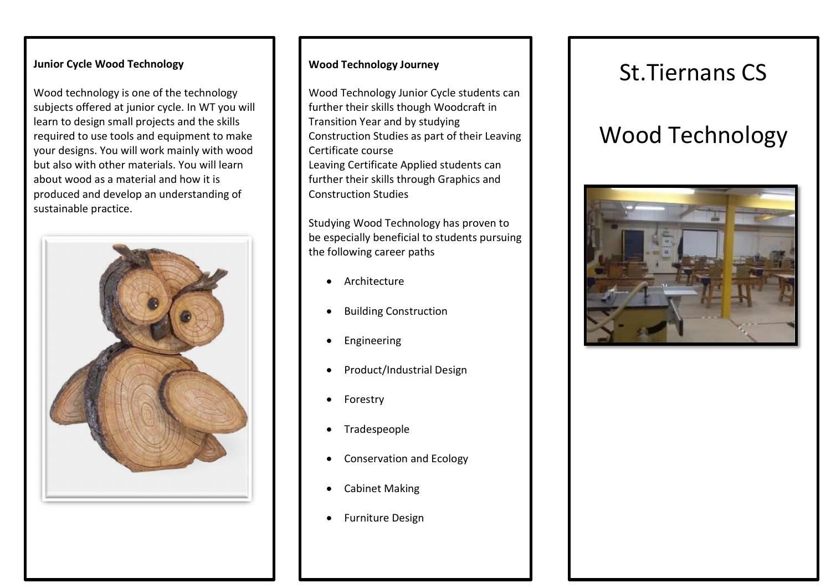#### Junior Cycle Wood Technology

Wood technology is one of the technology subjects offered at junior cycle. In WT you will learn to design small projects and the skills required to use tools and equipment to make your designs. You will work mainly with wood but also with other materials. You will learn about wood as a material and how it is produced and develop an understanding of sustainable practice.



#### Wood Technology Journey

Wood Technology Junior Cycle students can further their skills though Woodcraft in Transition Year and by studying Construction Studies as part of their Leaving Certificate course Leaving Certificate Applied students can further their skills through Graphics and Construction Studies

Studying Wood Technology has proven to be especially beneficial to students pursuing the following career paths

- Architecture
- Building Construction
- **•** Engineering
- Product/Industrial Design
- Forestry
- Tradespeople
- Conservation and Ecology
- Cabinet Making
- **•** Furniture Design

## St.Tiernans CS

# Wood Technology